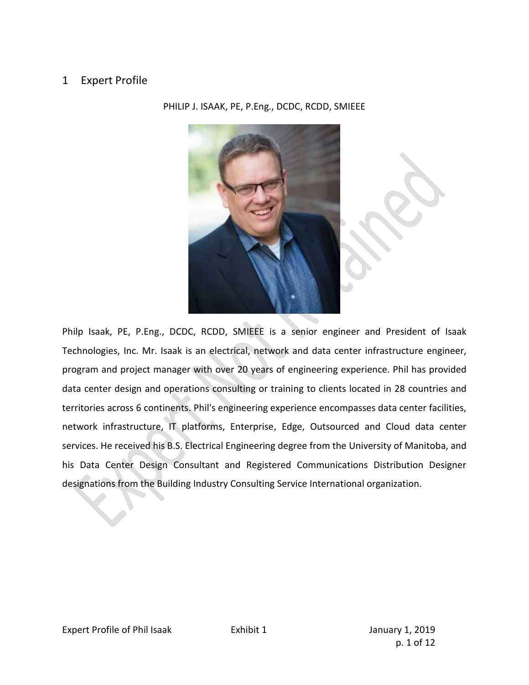# 1 Expert Profile

PHILIP J. ISAAK, PE, P.Eng., DCDC, RCDD, SMIEEE

Philp Isaak, PE, P.Eng., DCDC, RCDD, SMIEEE is a senior engineer and President of Isaak Technologies, Inc. Mr. Isaak is an electrical, network and data center infrastructure engineer, program and project manager with over 20 years of engineering experience. Phil has provided data center design and operations consulting or training to clients located in 28 countries and territories across 6 continents. Phil's engineering experience encompasses data center facilities, network infrastructure, IT platforms, Enterprise, Edge, Outsourced and Cloud data center services. He received his B.S. Electrical Engineering degree from the University of Manitoba, and his Data Center Design Consultant and Registered Communications Distribution Designer designations from the Building Industry Consulting Service International organization.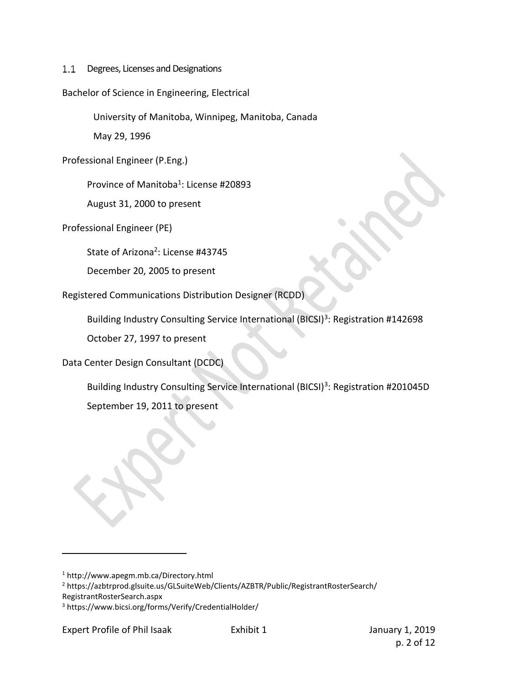$1.1$ Degrees, Licenses and Designations

## Bachelor of Science in Engineering, Electrical

University of Manitoba, Winnipeg, Manitoba, Canada

May 29, 1996

Professional Engineer (P.Eng.)

Province of Manitoba<sup>1</sup>: License #20893

August 31, 2000 to present

Professional Engineer (PE)

State of Arizona<sup>2</sup>: License #43745

December 20, 2005 to present

Registered Communications Distribution Designer (RCDD)

Building Industry Consulting Service International (BICSI)<sup>3</sup>: Registration #142698

October 27, 1997 to present

Data Center Design Consultant (DCDC)

Building Industry Consulting Service International (BICSI)<sup>3</sup>: Registration #201045D

September 19, 2011 to present

<sup>1</sup> http://www.apegm.mb.ca/Directory.html

<sup>2</sup> https://azbtrprod.glsuite.us/GLSuiteWeb/Clients/AZBTR/Public/RegistrantRosterSearch/

RegistrantRosterSearch.aspx

<sup>3</sup> https://www.bicsi.org/forms/Verify/CredentialHolder/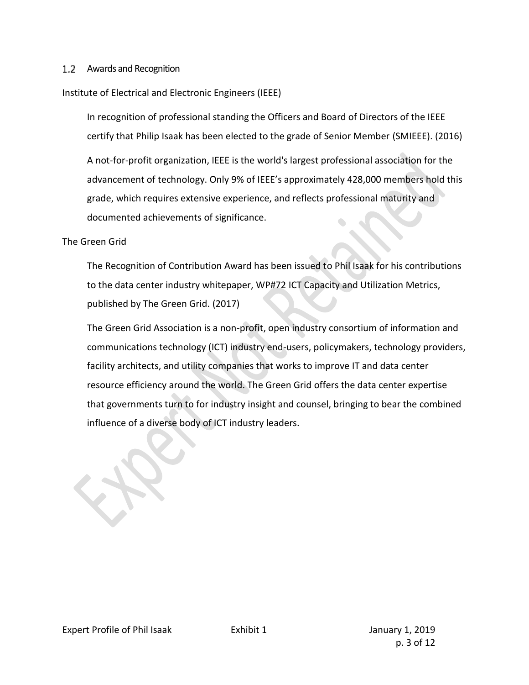## 1.2 Awards and Recognition

## Institute of Electrical and Electronic Engineers (IEEE)

In recognition of professional standing the Officers and Board of Directors of the IEEE certify that Philip Isaak has been elected to the grade of Senior Member (SMIEEE). (2016)

A not-for-profit organization, IEEE is the world's largest professional association for the advancement of technology. Only 9% of IEEE's approximately 428,000 members hold this grade, which requires extensive experience, and reflects professional maturity and documented achievements of significance.

#### The Green Grid

The Recognition of Contribution Award has been issued to Phil Isaak for his contributions to the data center industry whitepaper, WP#72 ICT Capacity and Utilization Metrics, published by The Green Grid. (2017)

The Green Grid Association is a non-profit, open industry consortium of information and communications technology (ICT) industry end-users, policymakers, technology providers, facility architects, and utility companies that works to improve IT and data center resource efficiency around the world. The Green Grid offers the data center expertise that governments turn to for industry insight and counsel, bringing to bear the combined influence of a diverse body of ICT industry leaders.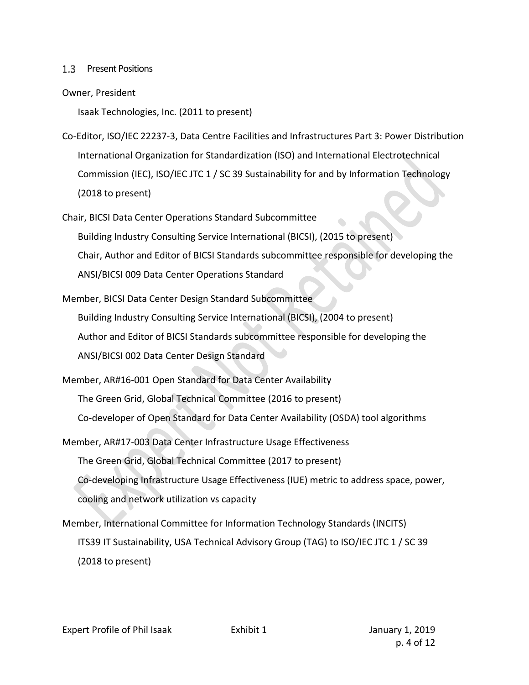#### 1.3 Present Positions

#### Owner, President

Isaak Technologies, Inc. (2011 to present)

- Co-Editor, ISO/IEC 22237-3, Data Centre Facilities and Infrastructures Part 3: Power Distribution International Organization for Standardization (ISO) and International Electrotechnical Commission (IEC), ISO/IEC JTC 1 / SC 39 Sustainability for and by Information Technology (2018 to present)
- Chair, BICSI Data Center Operations Standard Subcommittee Building Industry Consulting Service International (BICSI), (2015 to present) Chair, Author and Editor of BICSI Standards subcommittee responsible for developing the

ANSI/BICSI 009 Data Center Operations Standard

- Member, BICSI Data Center Design Standard Subcommittee Building Industry Consulting Service International (BICSI), (2004 to present) Author and Editor of BICSI Standards subcommittee responsible for developing the ANSI/BICSI 002 Data Center Design Standard
- Member, AR#16-001 Open Standard for Data Center Availability The Green Grid, Global Technical Committee (2016 to present) Co-developer of Open Standard for Data Center Availability (OSDA) tool algorithms
- Member, AR#17-003 Data Center Infrastructure Usage Effectiveness The Green Grid, Global Technical Committee (2017 to present) Co-developing Infrastructure Usage Effectiveness (IUE) metric to address space, power, cooling and network utilization vs capacity
- Member, International Committee for Information Technology Standards (INCITS) ITS39 IT Sustainability, USA Technical Advisory Group (TAG) to ISO/IEC JTC 1 / SC 39 (2018 to present)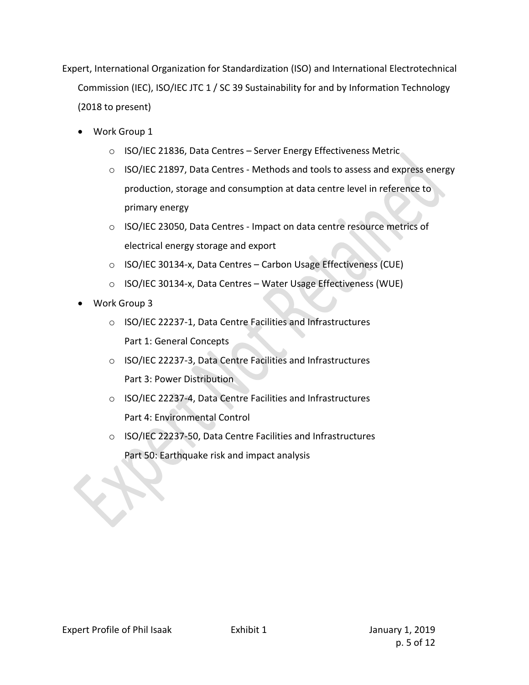Expert, International Organization for Standardization (ISO) and International Electrotechnical Commission (IEC), ISO/IEC JTC 1 / SC 39 Sustainability for and by Information Technology (2018 to present)

- Work Group 1
	- o ISO/IEC 21836, Data Centres Server Energy Effectiveness Metric
	- o ISO/IEC 21897, Data Centres Methods and tools to assess and express energy production, storage and consumption at data centre level in reference to primary energy
	- o ISO/IEC 23050, Data Centres Impact on data centre resource metrics of electrical energy storage and export
	- o ISO/IEC 30134-x, Data Centres Carbon Usage Effectiveness (CUE)
	- o ISO/IEC 30134-x, Data Centres Water Usage Effectiveness (WUE)
- Work Group 3
	- o ISO/IEC 22237-1, Data Centre Facilities and Infrastructures Part 1: General Concepts
	- o ISO/IEC 22237-3, Data Centre Facilities and Infrastructures Part 3: Power Distribution
	- o ISO/IEC 22237-4, Data Centre Facilities and Infrastructures Part 4: Environmental Control
	- o ISO/IEC 22237-50, Data Centre Facilities and Infrastructures Part 50: Earthquake risk and impact analysis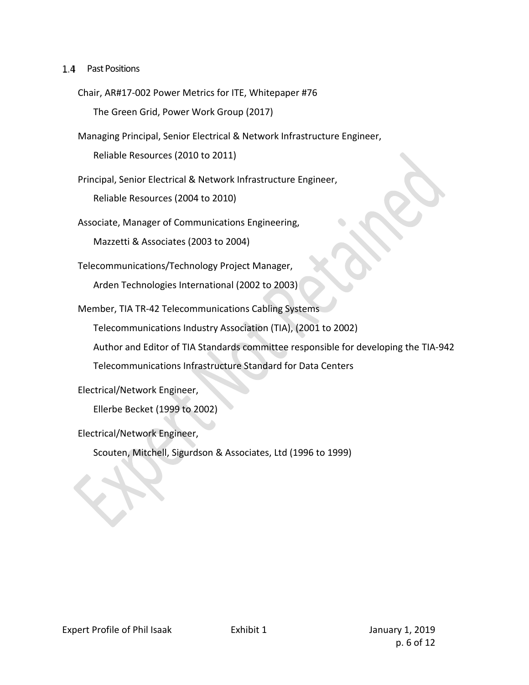#### 1.4 Past Positions

Chair, AR#17-002 Power Metrics for ITE, Whitepaper #76

The Green Grid, Power Work Group (2017)

Managing Principal, Senior Electrical & Network Infrastructure Engineer,

Reliable Resources (2010 to 2011)

Principal, Senior Electrical & Network Infrastructure Engineer,

Reliable Resources (2004 to 2010)

Associate, Manager of Communications Engineering,

Mazzetti & Associates (2003 to 2004)

Telecommunications/Technology Project Manager,

Arden Technologies International (2002 to 2003)

Member, TIA TR-42 Telecommunications Cabling Systems

Telecommunications Industry Association (TIA), (2001 to 2002)

Author and Editor of TIA Standards committee responsible for developing the TIA-942

Telecommunications Infrastructure Standard for Data Centers

Electrical/Network Engineer,

Ellerbe Becket (1999 to 2002)

Electrical/Network Engineer,

Scouten, Mitchell, Sigurdson & Associates, Ltd (1996 to 1999)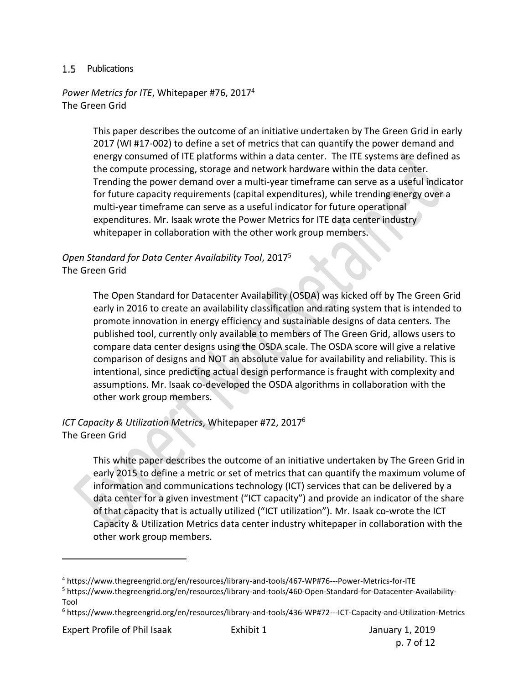## 1.5 Publications

*Power Metrics for ITE*, Whitepaper #76, 2017<sup>4</sup> The Green Grid

> This paper describes the outcome of an initiative undertaken by The Green Grid in early 2017 (WI #17-002) to define a set of metrics that can quantify the power demand and energy consumed of ITE platforms within a data center. The ITE systems are defined as the compute processing, storage and network hardware within the data center. Trending the power demand over a multi-year timeframe can serve as a useful indicator for future capacity requirements (capital expenditures), while trending energy over a multi-year timeframe can serve as a useful indicator for future operational expenditures. Mr. Isaak wrote the Power Metrics for ITE data center industry whitepaper in collaboration with the other work group members.

# *Open Standard for Data Center Availability Tool*, 2017<sup>5</sup> The Green Grid

The Open Standard for Datacenter Availability (OSDA) was kicked off by The Green Grid early in 2016 to create an availability classification and rating system that is intended to promote innovation in energy efficiency and sustainable designs of data centers. The published tool, currently only available to members of The Green Grid, allows users to compare data center designs using the OSDA scale. The OSDA score will give a relative comparison of designs and NOT an absolute value for availability and reliability. This is intentional, since predicting actual design performance is fraught with complexity and assumptions. Mr. Isaak co-developed the OSDA algorithms in collaboration with the other work group members.

# *ICT Capacity & Utilization Metrics*, Whitepaper #72, 2017<sup>6</sup> The Green Grid

This white paper describes the outcome of an initiative undertaken by The Green Grid in early 2015 to define a metric or set of metrics that can quantify the maximum volume of information and communications technology (ICT) services that can be delivered by a data center for a given investment ("ICT capacity") and provide an indicator of the share of that capacity that is actually utilized ("ICT utilization"). Mr. Isaak co-wrote the ICT Capacity & Utilization Metrics data center industry whitepaper in collaboration with the other work group members.

Expert Profile of Phil Isaak Exhibit 1 Figure 1, 2019

<sup>4</sup> https://www.thegreengrid.org/en/resources/library-and-tools/467-WP#76---Power-Metrics-for-ITE

<sup>5</sup> https://www.thegreengrid.org/en/resources/library-and-tools/460-Open-Standard-for-Datacenter-Availability-Tool

<sup>6</sup> https://www.thegreengrid.org/en/resources/library-and-tools/436-WP#72---ICT-Capacity-and-Utilization-Metrics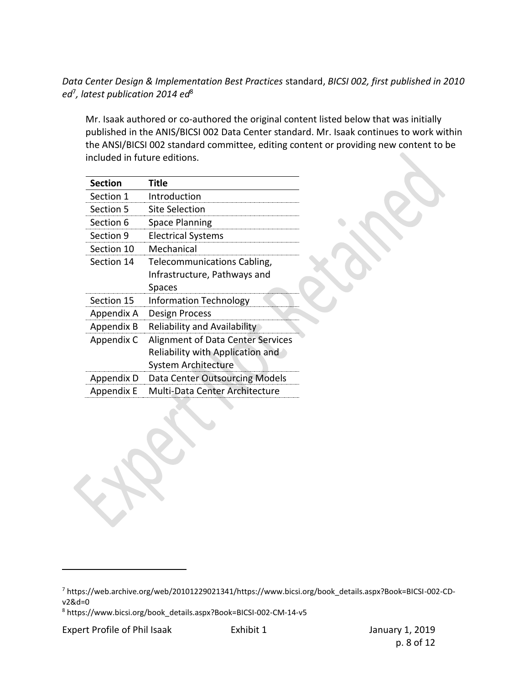# *Data Center Design & Implementation Best Practices* standard, *BICSI 002, first published in 2010 ed*<sup>7</sup> *, latest publication 2014 ed*<sup>8</sup>

Mr. Isaak authored or co-authored the original content listed below that was initially published in the ANIS/BICSI 002 Data Center standard. Mr. Isaak continues to work within the ANSI/BICSI 002 standard committee, editing content or providing new content to be included in future editions.

| <b>Section</b> | Title                             |
|----------------|-----------------------------------|
| Section 1      | Introduction                      |
| Section 5      | <b>Site Selection</b>             |
| Section 6      | <b>Space Planning</b>             |
| Section 9      | <b>Electrical Systems</b>         |
| Section 10     | Mechanical                        |
| Section 14     | Telecommunications Cabling,       |
|                | Infrastructure, Pathways and      |
|                | Spaces                            |
| Section 15     | <b>Information Technology</b>     |
| Appendix A     | Design Process                    |
| Appendix B     | Reliability and Availability      |
| Appendix C     | Alignment of Data Center Services |
|                | Reliability with Application and  |
|                | <b>System Architecture</b>        |
| Appendix D     | Data Center Outsourcing Models    |
| Appendix E     | Multi-Data Center Architecture    |

<sup>7</sup> https://web.archive.org/web/20101229021341/https://www.bicsi.org/book\_details.aspx?Book=BICSI-002-CDv2&d=0

<sup>8</sup> https://www.bicsi.org/book\_details.aspx?Book=BICSI-002-CM-14-v5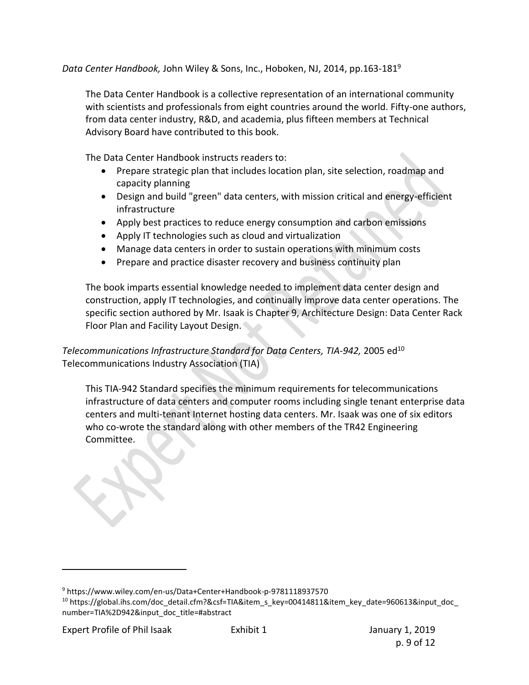*Data Center Handbook,* John Wiley & Sons, Inc., Hoboken, NJ, 2014, pp.163-181<sup>9</sup>

The Data Center Handbook is a collective representation of an international community with scientists and professionals from eight countries around the world. Fifty-one authors, from data center industry, R&D, and academia, plus fifteen members at Technical Advisory Board have contributed to this book.

The Data Center Handbook instructs readers to:

- Prepare strategic plan that includes location plan, site selection, roadmap and capacity planning
- Design and build "green" data centers, with mission critical and energy-efficient infrastructure
- Apply best practices to reduce energy consumption and carbon emissions
- Apply IT technologies such as cloud and virtualization
- Manage data centers in order to sustain operations with minimum costs
- Prepare and practice disaster recovery and business continuity plan

The book imparts essential knowledge needed to implement data center design and construction, apply IT technologies, and continually improve data center operations. The specific section authored by Mr. Isaak is Chapter 9, Architecture Design: Data Center Rack Floor Plan and Facility Layout Design.

# *Telecommunications Infrastructure Standard for Data Centers, TIA-942, 2005 ed*<sup>10</sup> Telecommunications Industry Association (TIA)

This TIA-942 Standard specifies the minimum requirements for telecommunications infrastructure of data centers and computer rooms including single tenant enterprise data centers and multi-tenant Internet hosting data centers. Mr. Isaak was one of six editors who co-wrote the standard along with other members of the TR42 Engineering Committee.

<sup>9</sup> https://www.wiley.com/en-us/Data+Center+Handbook-p-9781118937570

<sup>&</sup>lt;sup>10</sup> https://global.ihs.com/doc\_detail.cfm?&csf=TIA&item\_s\_key=00414811&item\_key\_date=960613&input\_doc number=TIA%2D942&input\_doc\_title=#abstract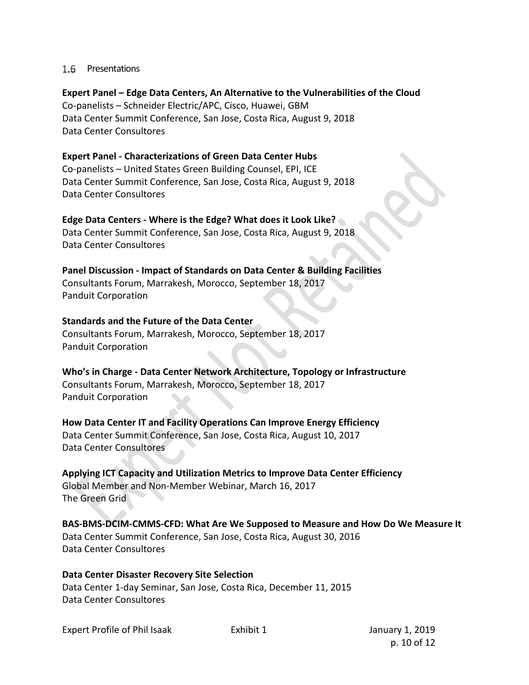#### 1.6 Presentations

**Expert Panel – Edge Data Centers, An Alternative to the Vulnerabilities of the Cloud** Co-panelists – Schneider Electric/APC, Cisco, Huawei, GBM Data Center Summit Conference, San Jose, Costa Rica, August 9, 2018 Data Center Consultores

**Expert Panel - Characterizations of Green Data Center Hubs** Co-panelists – United States Green Building Counsel, EPI, ICE Data Center Summit Conference, San Jose, Costa Rica, August 9, 2018 Data Center Consultores

**Edge Data Centers - Where is the Edge? What does it Look Like?** Data Center Summit Conference, San Jose, Costa Rica, August 9, 2018 Data Center Consultores

**Panel Discussion - Impact of Standards on Data Center & Building Facilities** Consultants Forum, Marrakesh, Morocco, September 18, 2017 Panduit Corporation

## **Standards and the Future of the Data Center**

Consultants Forum, Marrakesh, Morocco, September 18, 2017 Panduit Corporation

**Who's in Charge - Data Center Network Architecture, Topology or Infrastructure** Consultants Forum, Marrakesh, Morocco, September 18, 2017 Panduit Corporation

**How Data Center IT and Facility Operations Can Improve Energy Efficiency** Data Center Summit Conference, San Jose, Costa Rica, August 10, 2017 Data Center Consultores

**Applying ICT Capacity and Utilization Metrics to Improve Data Center Efficiency**  Global Member and Non-Member Webinar, March 16, 2017 The Green Grid

**BAS-BMS-DCIM-CMMS-CFD: What Are We Supposed to Measure and How Do We Measure It**  Data Center Summit Conference, San Jose, Costa Rica, August 30, 2016 Data Center Consultores

**Data Center Disaster Recovery Site Selection**  Data Center 1-day Seminar, San Jose, Costa Rica, December 11, 2015 Data Center Consultores

Expert Profile of Phil Isaak **Exhibit 1** Expert Profile of Phil Isaak

p. 10 of 12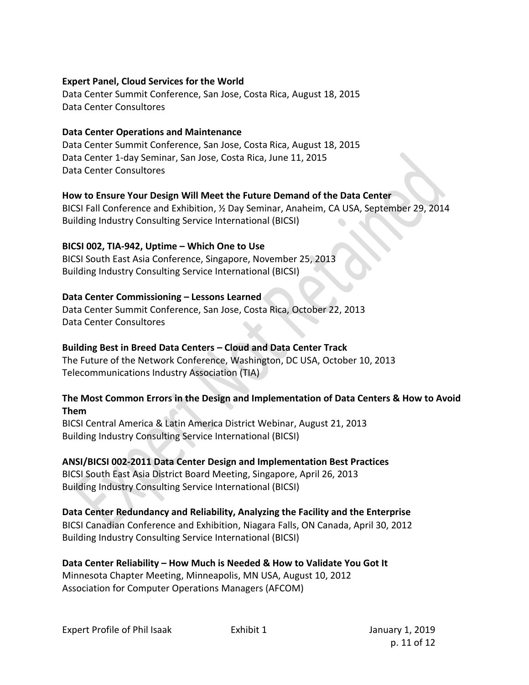## **Expert Panel, Cloud Services for the World**

Data Center Summit Conference, San Jose, Costa Rica, August 18, 2015 Data Center Consultores

## **Data Center Operations and Maintenance**

Data Center Summit Conference, San Jose, Costa Rica, August 18, 2015 Data Center 1-day Seminar, San Jose, Costa Rica, June 11, 2015 Data Center Consultores

# **How to Ensure Your Design Will Meet the Future Demand of the Data Center**

BICSI Fall Conference and Exhibition, ½ Day Seminar, Anaheim, CA USA, September 29, 2014 Building Industry Consulting Service International (BICSI)

## **BICSI 002, TIA-942, Uptime – Which One to Use**

BICSI South East Asia Conference, Singapore, November 25, 2013 Building Industry Consulting Service International (BICSI)

## **Data Center Commissioning – Lessons Learned**

Data Center Summit Conference, San Jose, Costa Rica, October 22, 2013 Data Center Consultores

# **Building Best in Breed Data Centers – Cloud and Data Center Track**

The Future of the Network Conference, Washington, DC USA, October 10, 2013 Telecommunications Industry Association (TIA)

## **The Most Common Errors in the Design and Implementation of Data Centers & How to Avoid Them**

BICSI Central America & Latin America District Webinar, August 21, 2013 Building Industry Consulting Service International (BICSI)

# **ANSI/BICSI 002-2011 Data Center Design and Implementation Best Practices**

BICSI South East Asia District Board Meeting, Singapore, April 26, 2013 Building Industry Consulting Service International (BICSI)

# **Data Center Redundancy and Reliability, Analyzing the Facility and the Enterprise**

BICSI Canadian Conference and Exhibition, Niagara Falls, ON Canada, April 30, 2012 Building Industry Consulting Service International (BICSI)

**Data Center Reliability – How Much is Needed & How to Validate You Got It** Minnesota Chapter Meeting, Minneapolis, MN USA, August 10, 2012 Association for Computer Operations Managers (AFCOM)